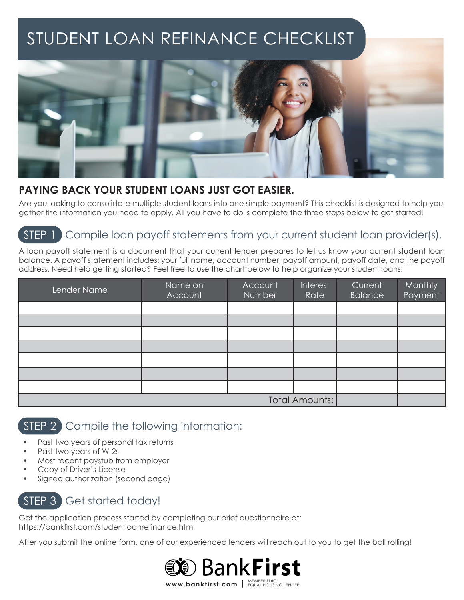# STUDENT LOAN REFINANCE CHECKLIST



#### **PAYING BACK YOUR STUDENT LOANS JUST GOT EASIER.**

Are you looking to consolidate multiple student loans into one simple payment? This checklist is designed to help you gather the information you need to apply. All you have to do is complete the three steps below to get started!

## Compile loan payoff statements from your current student loan provider(s). STEP 1

A loan payoff statement is a document that your current lender prepares to let us know your current student loan balance. A payoff statement includes: your full name, account number, payoff amount, payoff date, and the payoff address. Need help getting started? Feel free to use the chart below to help organize your student loans!

| Lender Name           | Name on<br>Account | Account<br><b>Number</b> | Interest<br>Rate | Current<br><b>Balance</b> | Monthly<br>Payment |
|-----------------------|--------------------|--------------------------|------------------|---------------------------|--------------------|
|                       |                    |                          |                  |                           |                    |
|                       |                    |                          |                  |                           |                    |
|                       |                    |                          |                  |                           |                    |
|                       |                    |                          |                  |                           |                    |
|                       |                    |                          |                  |                           |                    |
|                       |                    |                          |                  |                           |                    |
|                       |                    |                          |                  |                           |                    |
| <b>Total Amounts:</b> |                    |                          |                  |                           |                    |

### STEP 2 Compile the following information:

- Past two years of personal tax returns
- Past two years of W-2s
- Most recent paystub from employer
- Copy of Driver's License
- Signed authorization (second page)

# STEP 3 Get started today!

Get the application process started by completing our brief questionnaire at: https://bankfirst.com/studentloanrefinance.html

After you submit the online form, one of our experienced lenders will reach out to you to get the ball rolling!